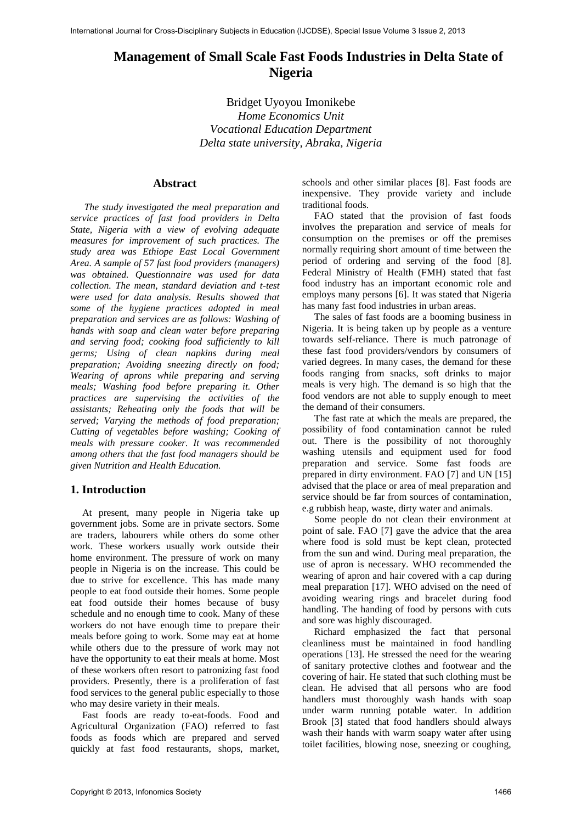# **Management of Small Scale Fast Foods Industries in Delta State of Nigeria**

Bridget Uyoyou Imonikebe *Home Economics Unit Vocational Education Department Delta state university, Abraka, Nigeria* 

#### **Abstract**

*The study investigated the meal preparation and service practices of fast food providers in Delta State, Nigeria with a view of evolving adequate measures for improvement of such practices. The study area was Ethiope East Local Government Area. A sample of 57 fast food providers (managers) was obtained. Questionnaire was used for data collection. The mean, standard deviation and t-test were used for data analysis. Results showed that some of the hygiene practices adopted in meal preparation and services are as follows: Washing of hands with soap and clean water before preparing and serving food; cooking food sufficiently to kill germs; Using of clean napkins during meal preparation; Avoiding sneezing directly on food; Wearing of aprons while preparing and serving meals; Washing food before preparing it. Other practices are supervising the activities of the assistants; Reheating only the foods that will be served; Varying the methods of food preparation; Cutting of vegetables before washing; Cooking of meals with pressure cooker. It was recommended among others that the fast food managers should be given Nutrition and Health Education.* 

# **1. Introduction**

At present, many people in Nigeria take up government jobs. Some are in private sectors. Some are traders, labourers while others do some other work. These workers usually work outside their home environment. The pressure of work on many people in Nigeria is on the increase. This could be due to strive for excellence. This has made many people to eat food outside their homes. Some people eat food outside their homes because of busy schedule and no enough time to cook. Many of these workers do not have enough time to prepare their meals before going to work. Some may eat at home while others due to the pressure of work may not have the opportunity to eat their meals at home. Most of these workers often resort to patronizing fast food providers. Presently, there is a proliferation of fast food services to the general public especially to those who may desire variety in their meals.

Fast foods are ready to-eat-foods. Food and Agricultural Organization (FAO) referred to fast foods as foods which are prepared and served quickly at fast food restaurants, shops, market,

schools and other similar places [8]. Fast foods are inexpensive. They provide variety and include traditional foods.

FAO stated that the provision of fast foods involves the preparation and service of meals for consumption on the premises or off the premises normally requiring short amount of time between the period of ordering and serving of the food [8]. Federal Ministry of Health (FMH) stated that fast food industry has an important economic role and employs many persons [6]. It was stated that Nigeria has many fast food industries in urban areas.

The sales of fast foods are a booming business in Nigeria. It is being taken up by people as a venture towards self-reliance. There is much patronage of these fast food providers/vendors by consumers of varied degrees. In many cases, the demand for these foods ranging from snacks, soft drinks to major meals is very high. The demand is so high that the food vendors are not able to supply enough to meet the demand of their consumers.

The fast rate at which the meals are prepared, the possibility of food contamination cannot be ruled out. There is the possibility of not thoroughly washing utensils and equipment used for food preparation and service. Some fast foods are prepared in dirty environment. FAO [7] and UN [15] advised that the place or area of meal preparation and service should be far from sources of contamination, e.g rubbish heap, waste, dirty water and animals.

Some people do not clean their environment at point of sale. FAO [7] gave the advice that the area where food is sold must be kept clean, protected from the sun and wind. During meal preparation, the use of apron is necessary. WHO recommended the wearing of apron and hair covered with a cap during meal preparation [17]. WHO advised on the need of avoiding wearing rings and bracelet during food handling. The handing of food by persons with cuts and sore was highly discouraged.

Richard emphasized the fact that personal cleanliness must be maintained in food handling operations [13]. He stressed the need for the wearing of sanitary protective clothes and footwear and the covering of hair. He stated that such clothing must be clean. He advised that all persons who are food handlers must thoroughly wash hands with soap under warm running potable water. In addition Brook [3] stated that food handlers should always wash their hands with warm soapy water after using toilet facilities, blowing nose, sneezing or coughing,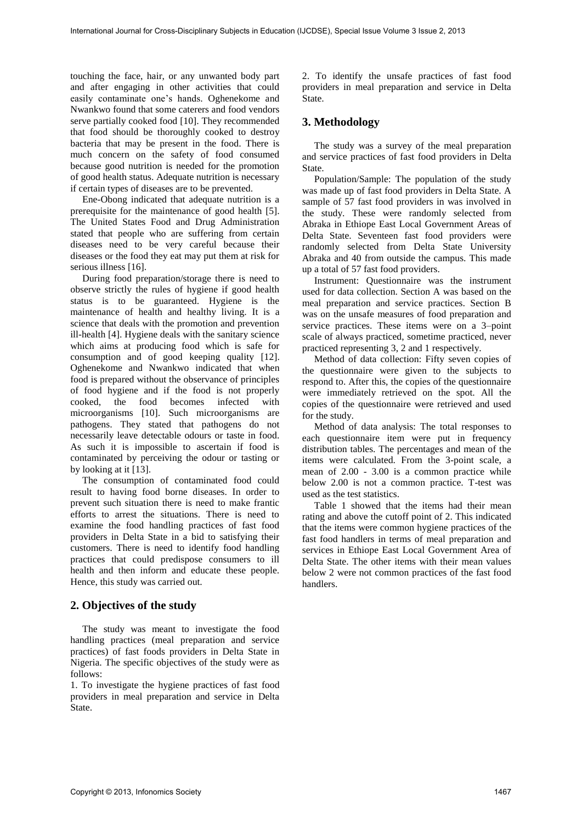touching the face, hair, or any unwanted body part and after engaging in other activities that could easily contaminate one's hands. Oghenekome and Nwankwo found that some caterers and food vendors serve partially cooked food [10]. They recommended that food should be thoroughly cooked to destroy bacteria that may be present in the food. There is much concern on the safety of food consumed because good nutrition is needed for the promotion of good health status. Adequate nutrition is necessary if certain types of diseases are to be prevented.

Ene-Obong indicated that adequate nutrition is a prerequisite for the maintenance of good health [5]. The United States Food and Drug Administration stated that people who are suffering from certain diseases need to be very careful because their diseases or the food they eat may put them at risk for serious illness [16].

During food preparation/storage there is need to observe strictly the rules of hygiene if good health status is to be guaranteed. Hygiene is the maintenance of health and healthy living. It is a science that deals with the promotion and prevention ill-health [4]. Hygiene deals with the sanitary science which aims at producing food which is safe for consumption and of good keeping quality [12]. Oghenekome and Nwankwo indicated that when food is prepared without the observance of principles of food hygiene and if the food is not properly cooked, the food becomes infected with microorganisms [10]. Such microorganisms are pathogens. They stated that pathogens do not necessarily leave detectable odours or taste in food. As such it is impossible to ascertain if food is contaminated by perceiving the odour or tasting or by looking at it [13].

The consumption of contaminated food could result to having food borne diseases. In order to prevent such situation there is need to make frantic efforts to arrest the situations. There is need to examine the food handling practices of fast food providers in Delta State in a bid to satisfying their customers. There is need to identify food handling practices that could predispose consumers to ill health and then inform and educate these people. Hence, this study was carried out.

## **2. Objectives of the study**

The study was meant to investigate the food handling practices (meal preparation and service practices) of fast foods providers in Delta State in Nigeria. The specific objectives of the study were as follows:

1. To investigate the hygiene practices of fast food providers in meal preparation and service in Delta State.

2. To identify the unsafe practices of fast food providers in meal preparation and service in Delta State.

# **3. Methodology**

The study was a survey of the meal preparation and service practices of fast food providers in Delta State.

Population/Sample: The population of the study was made up of fast food providers in Delta State. A sample of 57 fast food providers in was involved in the study. These were randomly selected from Abraka in Ethiope East Local Government Areas of Delta State. Seventeen fast food providers were randomly selected from Delta State University Abraka and 40 from outside the campus. This made up a total of 57 fast food providers.

Instrument: Questionnaire was the instrument used for data collection. Section A was based on the meal preparation and service practices. Section B was on the unsafe measures of food preparation and service practices. These items were on a 3–point scale of always practiced, sometime practiced, never practiced representing 3, 2 and 1 respectively.

Method of data collection: Fifty seven copies of the questionnaire were given to the subjects to respond to. After this, the copies of the questionnaire were immediately retrieved on the spot. All the copies of the questionnaire were retrieved and used for the study.

Method of data analysis: The total responses to each questionnaire item were put in frequency distribution tables. The percentages and mean of the items were calculated. From the 3-point scale, a mean of 2.00 - 3.00 is a common practice while below 2.00 is not a common practice. T-test was used as the test statistics.

Table 1 showed that the items had their mean rating and above the cutoff point of 2. This indicated that the items were common hygiene practices of the fast food handlers in terms of meal preparation and services in Ethiope East Local Government Area of Delta State. The other items with their mean values below 2 were not common practices of the fast food handlers.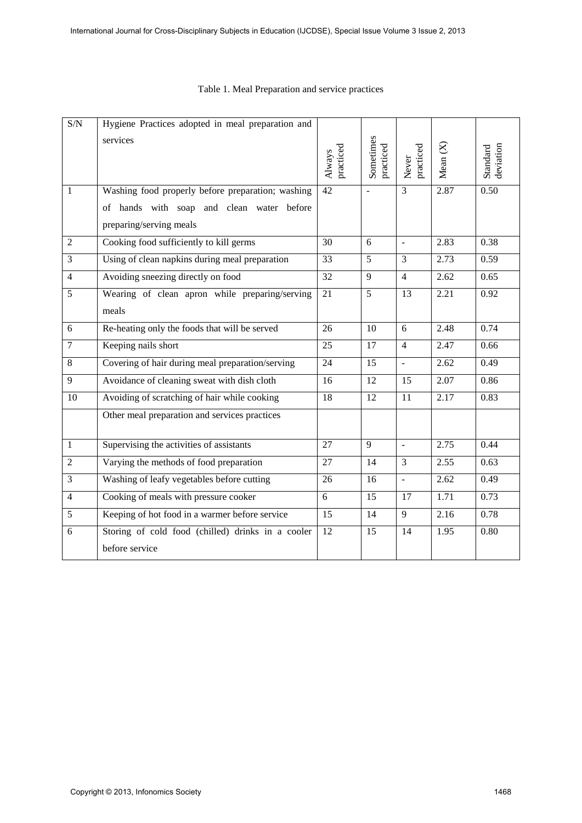| $\ensuremath{\mathrm{S/N}}$ | Hygiene Practices adopted in meal preparation and                    |                     |                        |                    |                   |                       |
|-----------------------------|----------------------------------------------------------------------|---------------------|------------------------|--------------------|-------------------|-----------------------|
|                             | services                                                             | practiced<br>Always | Sometimes<br>practiced | practiced<br>Never | Mean $(X)$        | deviation<br>Standard |
| $\mathbf{1}$                | Washing food properly before preparation; washing                    | $\overline{42}$     | ÷,                     | $\overline{3}$     | 2.87              | 0.50                  |
|                             | of hands with soap and clean water before<br>preparing/serving meals |                     |                        |                    |                   |                       |
| $\overline{2}$              | Cooking food sufficiently to kill germs                              | 30                  | 6                      | $\sim$             | 2.83              | 0.38                  |
| $\overline{3}$              | Using of clean napkins during meal preparation                       | 33                  | 5                      | $\overline{3}$     | 2.73              | 0.59                  |
| $\overline{4}$              | Avoiding sneezing directly on food                                   | 32                  | 9                      | $\overline{4}$     | 2.62              | 0.65                  |
| $\overline{5}$              | Wearing of clean apron while preparing/serving                       | $\overline{21}$     | $\overline{5}$         | $\overline{13}$    | $\overline{2.21}$ | 0.92                  |
|                             | meals                                                                |                     |                        |                    |                   |                       |
| 6                           | Re-heating only the foods that will be served                        | 26                  | 10                     | 6                  | 2.48              | 0.74                  |
| $\overline{7}$              | Keeping nails short                                                  | 25                  | 17                     | $\overline{4}$     | 2.47              | 0.66                  |
| 8                           | Covering of hair during meal preparation/serving                     | 24                  | 15                     | $\mathbb{L}^2$     | 2.62              | 0.49                  |
| $\overline{9}$              | Avoidance of cleaning sweat with dish cloth                          | 16                  | 12                     | 15                 | 2.07              | 0.86                  |
| 10                          | Avoiding of scratching of hair while cooking                         | 18                  | $\overline{12}$        | 11                 | 2.17              | 0.83                  |
|                             | Other meal preparation and services practices                        |                     |                        |                    |                   |                       |
| $\mathbf{1}$                | Supervising the activities of assistants                             | 27                  | 9                      | $\equiv$           | 2.75              | 0.44                  |
| $\overline{2}$              | Varying the methods of food preparation                              | 27                  | 14                     | 3                  | 2.55              | 0.63                  |
| 3                           | Washing of leafy vegetables before cutting                           | 26                  | 16                     | $\overline{a}$     | 2.62              | 0.49                  |
| $\overline{4}$              | Cooking of meals with pressure cooker                                | 6                   | 15                     | 17                 | 1.71              | 0.73                  |
| 5                           | Keeping of hot food in a warmer before service                       | 15                  | 14                     | 9                  | 2.16              | 0.78                  |
| 6                           | Storing of cold food (chilled) drinks in a cooler                    | 12                  | 15                     | 14                 | 1.95              | 0.80                  |
|                             | before service                                                       |                     |                        |                    |                   |                       |

# Table 1. Meal Preparation and service practices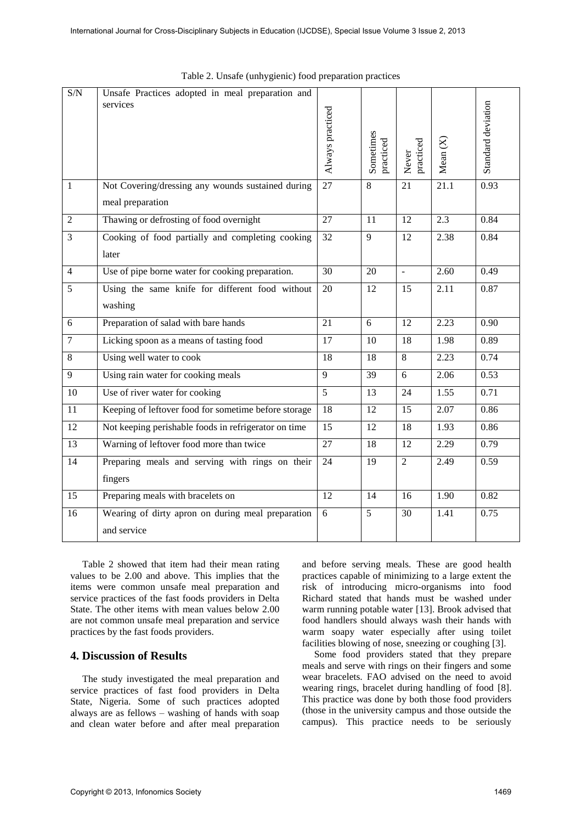| $\ensuremath{\mathrm{S/N}}$ | Unsafe Practices adopted in meal preparation and     |                  |                        |                    |            |                    |
|-----------------------------|------------------------------------------------------|------------------|------------------------|--------------------|------------|--------------------|
|                             | services                                             | Always practiced | Sometimes<br>practiced | practiced<br>Never | Mean $(X)$ | Standard deviation |
| $\mathbf{1}$                | Not Covering/dressing any wounds sustained during    | 27               | $\overline{8}$         | $\overline{21}$    | 21.1       | 0.93               |
|                             | meal preparation                                     |                  |                        |                    |            |                    |
| $\overline{2}$              | Thawing or defrosting of food overnight              | 27               | 11                     | 12                 | 2.3        | 0.84               |
| 3                           | Cooking of food partially and completing cooking     | 32               | 9                      | 12                 | 2.38       | 0.84               |
|                             | later                                                |                  |                        |                    |            |                    |
| $\overline{4}$              | Use of pipe borne water for cooking preparation.     | 30               | 20                     | $\mathbb{Z}^2$     | 2.60       | 0.49               |
| 5                           | Using the same knife for different food without      | 20               | 12                     | 15                 | 2.11       | 0.87               |
|                             | washing                                              |                  |                        |                    |            |                    |
| 6                           | Preparation of salad with bare hands                 | 21               | 6                      | 12                 | 2.23       | 0.90               |
| $\overline{7}$              | Licking spoon as a means of tasting food             | 17               | 10                     | 18                 | 1.98       | 0.89               |
| 8                           | Using well water to cook                             | 18               | 18                     | 8                  | 2.23       | 0.74               |
| 9                           | Using rain water for cooking meals                   | 9                | 39                     | 6                  | 2.06       | 0.53               |
| 10                          | Use of river water for cooking                       | 5                | 13                     | 24                 | 1.55       | 0.71               |
| 11                          | Keeping of leftover food for sometime before storage | 18               | 12                     | 15                 | 2.07       | 0.86               |
| 12                          | Not keeping perishable foods in refrigerator on time | 15               | 12                     | 18                 | 1.93       | 0.86               |
| 13                          | Warning of leftover food more than twice             | 27               | 18                     | 12                 | 2.29       | 0.79               |
| 14                          | Preparing meals and serving with rings on their      | 24               | 19                     | $\overline{2}$     | 2.49       | 0.59               |
|                             | fingers                                              |                  |                        |                    |            |                    |
| $\overline{15}$             | Preparing meals with bracelets on                    | $\overline{12}$  | 14                     | 16                 | 1.90       | 0.82               |
| 16                          | Wearing of dirty apron on during meal preparation    | 6                | 5                      | 30                 | 1.41       | 0.75               |
|                             | and service                                          |                  |                        |                    |            |                    |
|                             |                                                      |                  |                        |                    |            |                    |

Table 2. Unsafe (unhygienic) food preparation practices

Table 2 showed that item had their mean rating values to be 2.00 and above. This implies that the items were common unsafe meal preparation and service practices of the fast foods providers in Delta State. The other items with mean values below 2.00 are not common unsafe meal preparation and service practices by the fast foods providers.

#### **4. Discussion of Results**

The study investigated the meal preparation and service practices of fast food providers in Delta State, Nigeria. Some of such practices adopted always are as fellows – washing of hands with soap and clean water before and after meal preparation and before serving meals. These are good health practices capable of minimizing to a large extent the risk of introducing micro-organisms into food Richard stated that hands must be washed under warm running potable water [13]. Brook advised that food handlers should always wash their hands with warm soapy water especially after using toilet facilities blowing of nose, sneezing or coughing [3].

Some food providers stated that they prepare meals and serve with rings on their fingers and some wear bracelets. FAO advised on the need to avoid wearing rings, bracelet during handling of food [8]. This practice was done by both those food providers (those in the university campus and those outside the campus). This practice needs to be seriously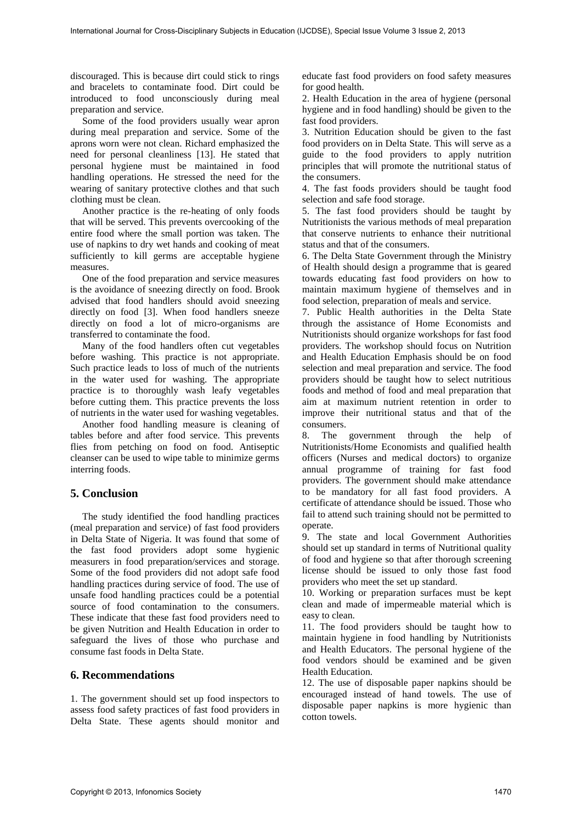discouraged. This is because dirt could stick to rings and bracelets to contaminate food. Dirt could be introduced to food unconsciously during meal preparation and service.

Some of the food providers usually wear apron during meal preparation and service. Some of the aprons worn were not clean. Richard emphasized the need for personal cleanliness [13]. He stated that personal hygiene must be maintained in food handling operations. He stressed the need for the wearing of sanitary protective clothes and that such clothing must be clean.

Another practice is the re-heating of only foods that will be served. This prevents overcooking of the entire food where the small portion was taken. The use of napkins to dry wet hands and cooking of meat sufficiently to kill germs are acceptable hygiene measures.

One of the food preparation and service measures is the avoidance of sneezing directly on food. Brook advised that food handlers should avoid sneezing directly on food [3]. When food handlers sneeze directly on food a lot of micro-organisms are transferred to contaminate the food.

Many of the food handlers often cut vegetables before washing. This practice is not appropriate. Such practice leads to loss of much of the nutrients in the water used for washing. The appropriate practice is to thoroughly wash leafy vegetables before cutting them. This practice prevents the loss of nutrients in the water used for washing vegetables.

Another food handling measure is cleaning of tables before and after food service. This prevents flies from petching on food on food. Antiseptic cleanser can be used to wipe table to minimize germs interring foods.

## **5. Conclusion**

The study identified the food handling practices (meal preparation and service) of fast food providers in Delta State of Nigeria. It was found that some of the fast food providers adopt some hygienic measurers in food preparation/services and storage. Some of the food providers did not adopt safe food handling practices during service of food. The use of unsafe food handling practices could be a potential source of food contamination to the consumers. These indicate that these fast food providers need to be given Nutrition and Health Education in order to safeguard the lives of those who purchase and consume fast foods in Delta State.

### **6. Recommendations**

1. The government should set up food inspectors to assess food safety practices of fast food providers in Delta State. These agents should monitor and

educate fast food providers on food safety measures for good health.

2. Health Education in the area of hygiene (personal hygiene and in food handling) should be given to the fast food providers.

3. Nutrition Education should be given to the fast food providers on in Delta State. This will serve as a guide to the food providers to apply nutrition principles that will promote the nutritional status of the consumers.

4. The fast foods providers should be taught food selection and safe food storage.

5. The fast food providers should be taught by Nutritionists the various methods of meal preparation that conserve nutrients to enhance their nutritional status and that of the consumers.

6. The Delta State Government through the Ministry of Health should design a programme that is geared towards educating fast food providers on how to maintain maximum hygiene of themselves and in food selection, preparation of meals and service.

7. Public Health authorities in the Delta State through the assistance of Home Economists and Nutritionists should organize workshops for fast food providers. The workshop should focus on Nutrition and Health Education Emphasis should be on food selection and meal preparation and service. The food providers should be taught how to select nutritious foods and method of food and meal preparation that aim at maximum nutrient retention in order to improve their nutritional status and that of the consumers.

8. The government through the help of Nutritionists/Home Economists and qualified health officers (Nurses and medical doctors) to organize annual programme of training for fast food providers. The government should make attendance to be mandatory for all fast food providers. A certificate of attendance should be issued. Those who fail to attend such training should not be permitted to operate.

9. The state and local Government Authorities should set up standard in terms of Nutritional quality of food and hygiene so that after thorough screening license should be issued to only those fast food providers who meet the set up standard.

10. Working or preparation surfaces must be kept clean and made of impermeable material which is easy to clean.

11. The food providers should be taught how to maintain hygiene in food handling by Nutritionists and Health Educators. The personal hygiene of the food vendors should be examined and be given Health Education.

12. The use of disposable paper napkins should be encouraged instead of hand towels. The use of disposable paper napkins is more hygienic than cotton towels.